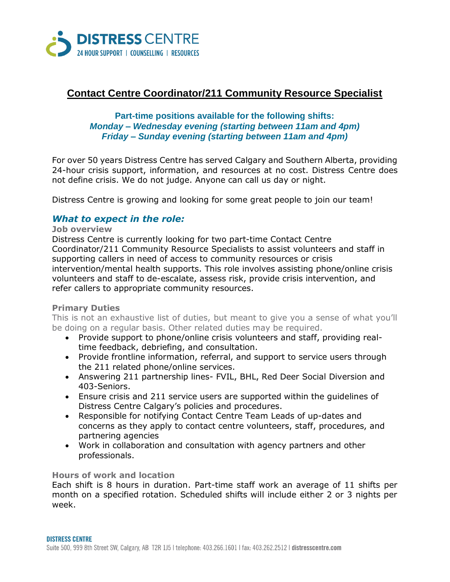

# **Contact Centre Coordinator/211 Community Resource Specialist**

# **Part-time positions available for the following shifts:** *Monday – Wednesday evening (starting between 11am and 4pm) Friday – Sunday evening (starting between 11am and 4pm)*

For over 50 years Distress Centre has served Calgary and Southern Alberta, providing 24-hour crisis support, information, and resources at no cost. Distress Centre does not define crisis. We do not judge. Anyone can call us day or night.

Distress Centre is growing and looking for some great people to join our team!

# *What to expect in the role:*

#### **Job overview**

Distress Centre is currently looking for two part-time Contact Centre Coordinator/211 Community Resource Specialists to assist volunteers and staff in supporting callers in need of access to community resources or crisis intervention/mental health supports. This role involves assisting phone/online crisis volunteers and staff to de-escalate, assess risk, provide crisis intervention, and refer callers to appropriate community resources.

## **Primary Duties**

This is not an exhaustive list of duties, but meant to give you a sense of what you'll be doing on a regular basis. Other related duties may be required.

- Provide support to phone/online crisis volunteers and staff, providing realtime feedback, debriefing, and consultation.
- Provide frontline information, referral, and support to service users through the 211 related phone/online services.
- Answering 211 partnership lines- FVIL, BHL, Red Deer Social Diversion and 403-Seniors.
- Ensure crisis and 211 service users are supported within the guidelines of Distress Centre Calgary's policies and procedures.
- Responsible for notifying Contact Centre Team Leads of up-dates and concerns as they apply to contact centre volunteers, staff, procedures, and partnering agencies
- Work in collaboration and consultation with agency partners and other professionals.

## **Hours of work and location**

Each shift is 8 hours in duration. Part-time staff work an average of 11 shifts per month on a specified rotation. Scheduled shifts will include either 2 or 3 nights per week.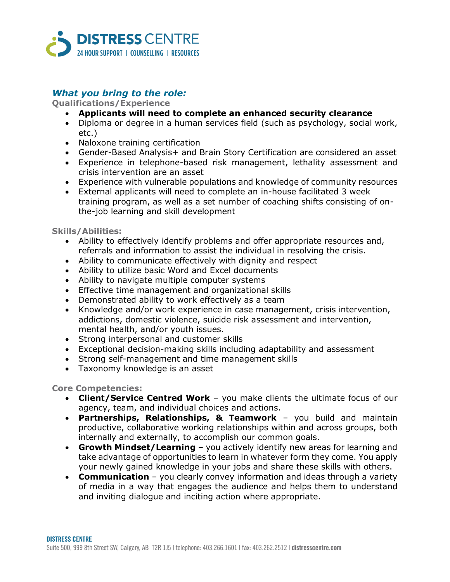

# *What you bring to the role:*

## **Qualifications/Experience**

- **Applicants will need to complete an enhanced security clearance**
- Diploma or degree in a human services field (such as psychology, social work, etc.)
- Naloxone training certification
- Gender-Based Analysis+ and Brain Story Certification are considered an asset
- Experience in telephone-based risk management, lethality assessment and crisis intervention are an asset
- Experience with vulnerable populations and knowledge of community resources
- External applicants will need to complete an in-house facilitated 3 week training program, as well as a set number of coaching shifts consisting of onthe-job learning and skill development

#### **Skills/Abilities:**

- Ability to effectively identify problems and offer appropriate resources and, referrals and information to assist the individual in resolving the crisis.
- Ability to communicate effectively with dignity and respect
- Ability to utilize basic Word and Excel documents
- Ability to navigate multiple computer systems
- Effective time management and organizational skills
- Demonstrated ability to work effectively as a team
- Knowledge and/or work experience in case management, crisis intervention, addictions, domestic violence, suicide risk assessment and intervention, mental health, and/or youth issues.
- Strong interpersonal and customer skills
- Exceptional decision-making skills including adaptability and assessment
- Strong self-management and time management skills
- Taxonomy knowledge is an asset

#### **Core Competencies:**

- **Client/Service Centred Work** you make clients the ultimate focus of our agency, team, and individual choices and actions.
- **Partnerships, Relationships, & Teamwork** you build and maintain productive, collaborative working relationships within and across groups, both internally and externally, to accomplish our common goals.
- **Growth Mindset/Learning** you actively identify new areas for learning and take advantage of opportunities to learn in whatever form they come. You apply your newly gained knowledge in your jobs and share these skills with others.
- **Communication** you clearly convey information and ideas through a variety of media in a way that engages the audience and helps them to understand and inviting dialogue and inciting action where appropriate.